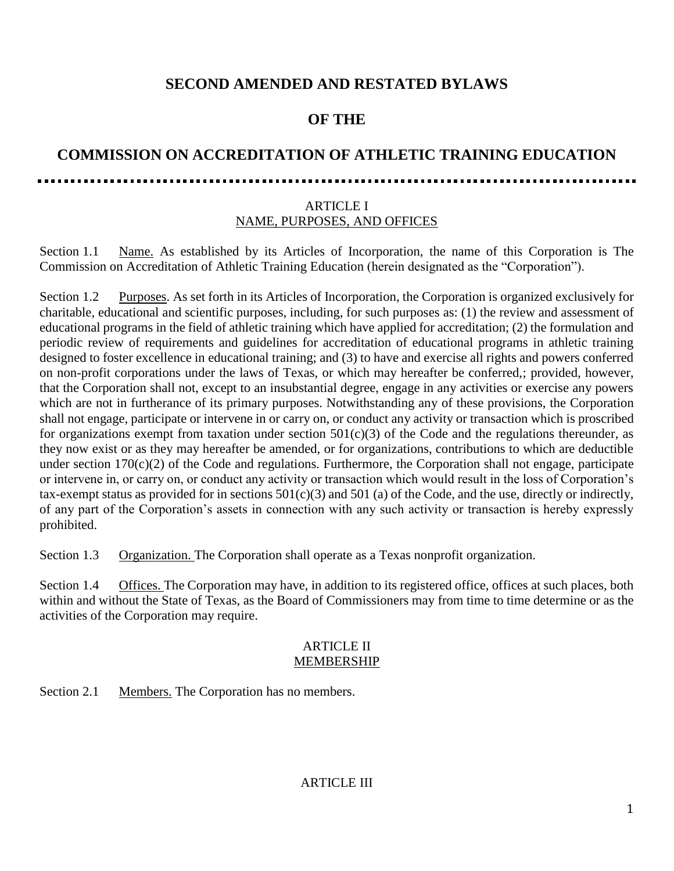## **SECOND AMENDED AND RESTATED BYLAWS**

# **OF THE**

# **COMMISSION ON ACCREDITATION OF ATHLETIC TRAINING EDUCATION**

### ARTICLE I NAME, PURPOSES, AND OFFICES

Section 1.1 Name. As established by its Articles of Incorporation, the name of this Corporation is The Commission on Accreditation of Athletic Training Education (herein designated as the "Corporation").

Section 1.2 Purposes. As set forth in its Articles of Incorporation, the Corporation is organized exclusively for charitable, educational and scientific purposes, including, for such purposes as: (1) the review and assessment of educational programs in the field of athletic training which have applied for accreditation; (2) the formulation and periodic review of requirements and guidelines for accreditation of educational programs in athletic training designed to foster excellence in educational training; and (3) to have and exercise all rights and powers conferred on non-profit corporations under the laws of Texas, or which may hereafter be conferred,; provided, however, that the Corporation shall not, except to an insubstantial degree, engage in any activities or exercise any powers which are not in furtherance of its primary purposes. Notwithstanding any of these provisions, the Corporation shall not engage, participate or intervene in or carry on, or conduct any activity or transaction which is proscribed for organizations exempt from taxation under section  $501(c)(3)$  of the Code and the regulations thereunder, as they now exist or as they may hereafter be amended, or for organizations, contributions to which are deductible under section 170(c)(2) of the Code and regulations. Furthermore, the Corporation shall not engage, participate or intervene in, or carry on, or conduct any activity or transaction which would result in the loss of Corporation's tax-exempt status as provided for in sections  $501(c)(3)$  and  $501(a)$  of the Code, and the use, directly or indirectly, of any part of the Corporation's assets in connection with any such activity or transaction is hereby expressly prohibited.

Section 1.3 Organization. The Corporation shall operate as a Texas nonprofit organization.

Section 1.4 Offices. The Corporation may have, in addition to its registered office, offices at such places, both within and without the State of Texas, as the Board of Commissioners may from time to time determine or as the activities of the Corporation may require.

#### ARTICLE II MEMBERSHIP

Section 2.1 Members. The Corporation has no members.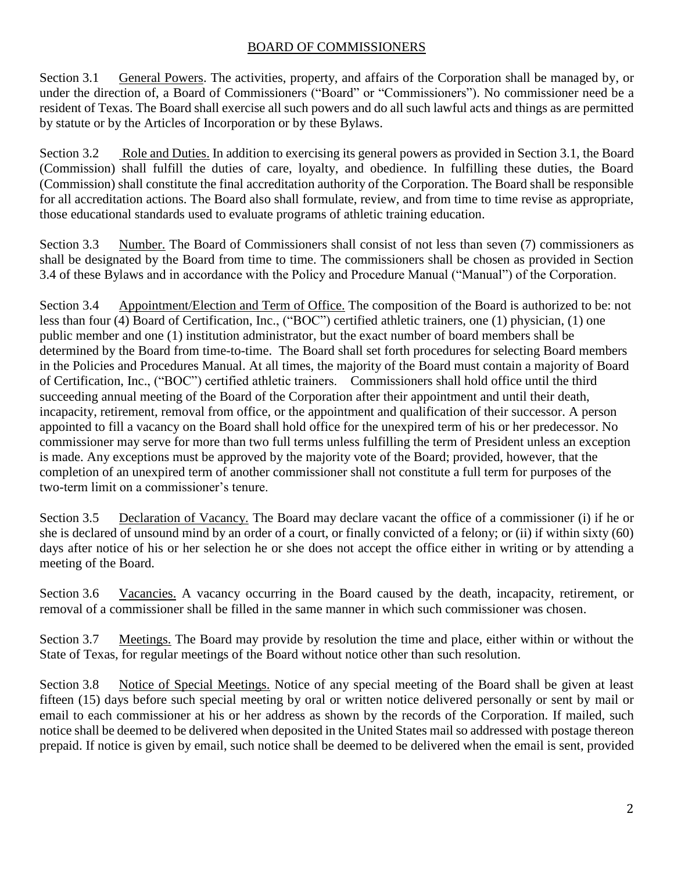### BOARD OF COMMISSIONERS

Section 3.1 General Powers. The activities, property, and affairs of the Corporation shall be managed by, or under the direction of, a Board of Commissioners ("Board" or "Commissioners"). No commissioner need be a resident of Texas. The Board shall exercise all such powers and do all such lawful acts and things as are permitted by statute or by the Articles of Incorporation or by these Bylaws.

Section 3.2 Role and Duties. In addition to exercising its general powers as provided in Section 3.1, the Board (Commission) shall fulfill the duties of care, loyalty, and obedience. In fulfilling these duties, the Board (Commission) shall constitute the final accreditation authority of the Corporation. The Board shall be responsible for all accreditation actions. The Board also shall formulate, review, and from time to time revise as appropriate, those educational standards used to evaluate programs of athletic training education.

Section 3.3 Number. The Board of Commissioners shall consist of not less than seven (7) commissioners as shall be designated by the Board from time to time. The commissioners shall be chosen as provided in Section 3.4 of these Bylaws and in accordance with the Policy and Procedure Manual ("Manual") of the Corporation.

Section 3.4 Appointment/Election and Term of Office. The composition of the Board is authorized to be: not less than four (4) Board of Certification, Inc., ("BOC") certified athletic trainers, one (1) physician, (1) one public member and one (1) institution administrator, but the exact number of board members shall be determined by the Board from time-to-time. The Board shall set forth procedures for selecting Board members in the Policies and Procedures Manual. At all times, the majority of the Board must contain a majority of Board of Certification, Inc., ("BOC") certified athletic trainers. Commissioners shall hold office until the third succeeding annual meeting of the Board of the Corporation after their appointment and until their death, incapacity, retirement, removal from office, or the appointment and qualification of their successor. A person appointed to fill a vacancy on the Board shall hold office for the unexpired term of his or her predecessor. No commissioner may serve for more than two full terms unless fulfilling the term of President unless an exception is made. Any exceptions must be approved by the majority vote of the Board; provided, however, that the completion of an unexpired term of another commissioner shall not constitute a full term for purposes of the two-term limit on a commissioner's tenure.

Section 3.5 Declaration of Vacancy. The Board may declare vacant the office of a commissioner (i) if he or she is declared of unsound mind by an order of a court, or finally convicted of a felony; or (ii) if within sixty (60) days after notice of his or her selection he or she does not accept the office either in writing or by attending a meeting of the Board.

Section 3.6 Vacancies. A vacancy occurring in the Board caused by the death, incapacity, retirement, or removal of a commissioner shall be filled in the same manner in which such commissioner was chosen.

Section 3.7 Meetings. The Board may provide by resolution the time and place, either within or without the State of Texas, for regular meetings of the Board without notice other than such resolution.

Section 3.8 Notice of Special Meetings. Notice of any special meeting of the Board shall be given at least fifteen (15) days before such special meeting by oral or written notice delivered personally or sent by mail or email to each commissioner at his or her address as shown by the records of the Corporation. If mailed, such notice shall be deemed to be delivered when deposited in the United States mail so addressed with postage thereon prepaid. If notice is given by email, such notice shall be deemed to be delivered when the email is sent, provided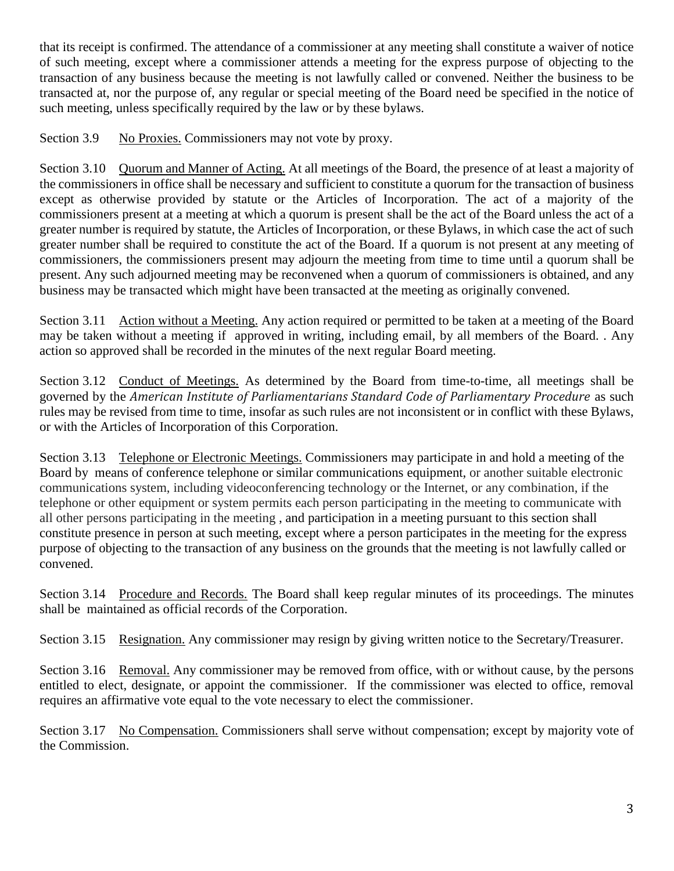that its receipt is confirmed. The attendance of a commissioner at any meeting shall constitute a waiver of notice of such meeting, except where a commissioner attends a meeting for the express purpose of objecting to the transaction of any business because the meeting is not lawfully called or convened. Neither the business to be transacted at, nor the purpose of, any regular or special meeting of the Board need be specified in the notice of such meeting, unless specifically required by the law or by these bylaws.

Section 3.9 No Proxies. Commissioners may not vote by proxy.

Section 3.10 Quorum and Manner of Acting. At all meetings of the Board, the presence of at least a majority of the commissioners in office shall be necessary and sufficient to constitute a quorum for the transaction of business except as otherwise provided by statute or the Articles of Incorporation. The act of a majority of the commissioners present at a meeting at which a quorum is present shall be the act of the Board unless the act of a greater number is required by statute, the Articles of Incorporation, or these Bylaws, in which case the act of such greater number shall be required to constitute the act of the Board. If a quorum is not present at any meeting of commissioners, the commissioners present may adjourn the meeting from time to time until a quorum shall be present. Any such adjourned meeting may be reconvened when a quorum of commissioners is obtained, and any business may be transacted which might have been transacted at the meeting as originally convened.

Section 3.11 Action without a Meeting. Any action required or permitted to be taken at a meeting of the Board may be taken without a meeting if approved in writing, including email, by all members of the Board. . Any action so approved shall be recorded in the minutes of the next regular Board meeting.

Section 3.12 Conduct of Meetings. As determined by the Board from time-to-time, all meetings shall be governed by the *American Institute of Parliamentarians Standard Code of Parliamentary Procedure* as such rules may be revised from time to time, insofar as such rules are not inconsistent or in conflict with these Bylaws, or with the Articles of Incorporation of this Corporation.

Section 3.13 Telephone or Electronic Meetings. Commissioners may participate in and hold a meeting of the Board by means of conference telephone or similar communications equipment, or another suitable electronic communications system, including videoconferencing technology or the Internet, or any combination, if the telephone or other equipment or system permits each person participating in the meeting to communicate with all other persons participating in the meeting , and participation in a meeting pursuant to this section shall constitute presence in person at such meeting, except where a person participates in the meeting for the express purpose of objecting to the transaction of any business on the grounds that the meeting is not lawfully called or convened.

Section 3.14 Procedure and Records. The Board shall keep regular minutes of its proceedings. The minutes shall be maintained as official records of the Corporation.

Section 3.15 Resignation. Any commissioner may resign by giving written notice to the Secretary/Treasurer.

Section 3.16 Removal. Any commissioner may be removed from office, with or without cause, by the persons entitled to elect, designate, or appoint the commissioner. If the commissioner was elected to office, removal requires an affirmative vote equal to the vote necessary to elect the commissioner.

Section 3.17 No Compensation. Commissioners shall serve without compensation; except by majority vote of the Commission.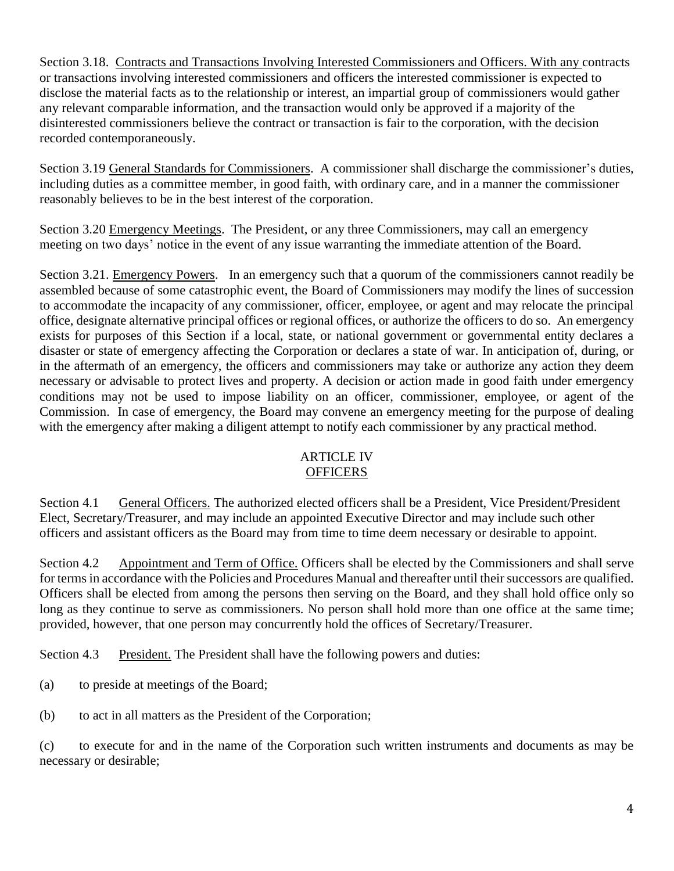Section 3.18. Contracts and Transactions Involving Interested Commissioners and Officers. With any contracts or transactions involving interested commissioners and officers the interested commissioner is expected to disclose the material facts as to the relationship or interest, an impartial group of commissioners would gather any relevant comparable information, and the transaction would only be approved if a majority of the disinterested commissioners believe the contract or transaction is fair to the corporation, with the decision recorded contemporaneously.

Section 3.19 General Standards for Commissioners. A commissioner shall discharge the commissioner's duties, including duties as a committee member, in good faith, with ordinary care, and in a manner the commissioner reasonably believes to be in the best interest of the corporation.

Section 3.20 Emergency Meetings. The President, or any three Commissioners, may call an emergency meeting on two days' notice in the event of any issue warranting the immediate attention of the Board.

Section 3.21. Emergency Powers. In an emergency such that a quorum of the commissioners cannot readily be assembled because of some catastrophic event, the Board of Commissioners may modify the lines of succession to accommodate the incapacity of any commissioner, officer, employee, or agent and may relocate the principal office, designate alternative principal offices or regional offices, or authorize the officers to do so. An emergency exists for purposes of this Section if a local, state, or national government or governmental entity declares a disaster or state of emergency affecting the Corporation or declares a state of war. In anticipation of, during, or in the aftermath of an emergency, the officers and commissioners may take or authorize any action they deem necessary or advisable to protect lives and property. A decision or action made in good faith under emergency conditions may not be used to impose liability on an officer, commissioner, employee, or agent of the Commission. In case of emergency, the Board may convene an emergency meeting for the purpose of dealing with the emergency after making a diligent attempt to notify each commissioner by any practical method.

## ARTICLE IV **OFFICERS**

Section 4.1 General Officers. The authorized elected officers shall be a President, Vice President/President Elect, Secretary/Treasurer, and may include an appointed Executive Director and may include such other officers and assistant officers as the Board may from time to time deem necessary or desirable to appoint.

Section 4.2 Appointment and Term of Office. Officers shall be elected by the Commissioners and shall serve for terms in accordance with the Policies and Procedures Manual and thereafter until their successors are qualified. Officers shall be elected from among the persons then serving on the Board, and they shall hold office only so long as they continue to serve as commissioners. No person shall hold more than one office at the same time; provided, however, that one person may concurrently hold the offices of Secretary/Treasurer.

Section 4.3 President. The President shall have the following powers and duties:

(a) to preside at meetings of the Board;

(b) to act in all matters as the President of the Corporation;

(c) to execute for and in the name of the Corporation such written instruments and documents as may be necessary or desirable;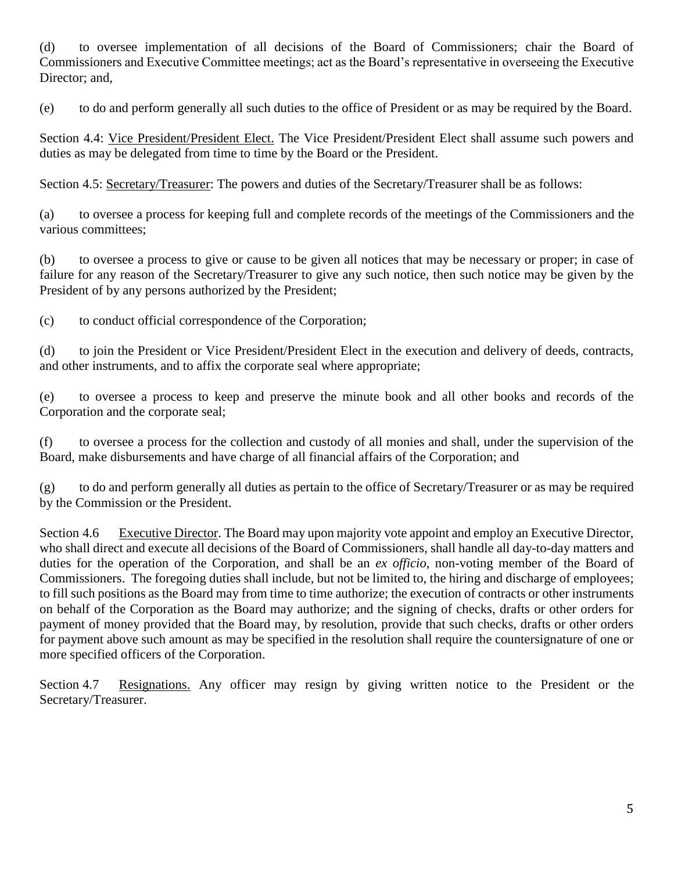(d) to oversee implementation of all decisions of the Board of Commissioners; chair the Board of Commissioners and Executive Committee meetings; act as the Board's representative in overseeing the Executive Director; and,

(e) to do and perform generally all such duties to the office of President or as may be required by the Board.

Section 4.4: Vice President/President Elect. The Vice President/President Elect shall assume such powers and duties as may be delegated from time to time by the Board or the President.

Section 4.5: Secretary/Treasurer: The powers and duties of the Secretary/Treasurer shall be as follows:

(a) to oversee a process for keeping full and complete records of the meetings of the Commissioners and the various committees;

(b) to oversee a process to give or cause to be given all notices that may be necessary or proper; in case of failure for any reason of the Secretary/Treasurer to give any such notice, then such notice may be given by the President of by any persons authorized by the President;

(c) to conduct official correspondence of the Corporation;

(d) to join the President or Vice President/President Elect in the execution and delivery of deeds, contracts, and other instruments, and to affix the corporate seal where appropriate;

(e) to oversee a process to keep and preserve the minute book and all other books and records of the Corporation and the corporate seal;

(f) to oversee a process for the collection and custody of all monies and shall, under the supervision of the Board, make disbursements and have charge of all financial affairs of the Corporation; and

(g) to do and perform generally all duties as pertain to the office of Secretary/Treasurer or as may be required by the Commission or the President.

Section 4.6 Executive Director. The Board may upon majority vote appoint and employ an Executive Director, who shall direct and execute all decisions of the Board of Commissioners, shall handle all day-to-day matters and duties for the operation of the Corporation, and shall be an *ex officio*, non-voting member of the Board of Commissioners. The foregoing duties shall include, but not be limited to, the hiring and discharge of employees; to fill such positions as the Board may from time to time authorize; the execution of contracts or other instruments on behalf of the Corporation as the Board may authorize; and the signing of checks, drafts or other orders for payment of money provided that the Board may, by resolution, provide that such checks, drafts or other orders for payment above such amount as may be specified in the resolution shall require the countersignature of one or more specified officers of the Corporation.

Section 4.7 Resignations. Any officer may resign by giving written notice to the President or the Secretary/Treasurer.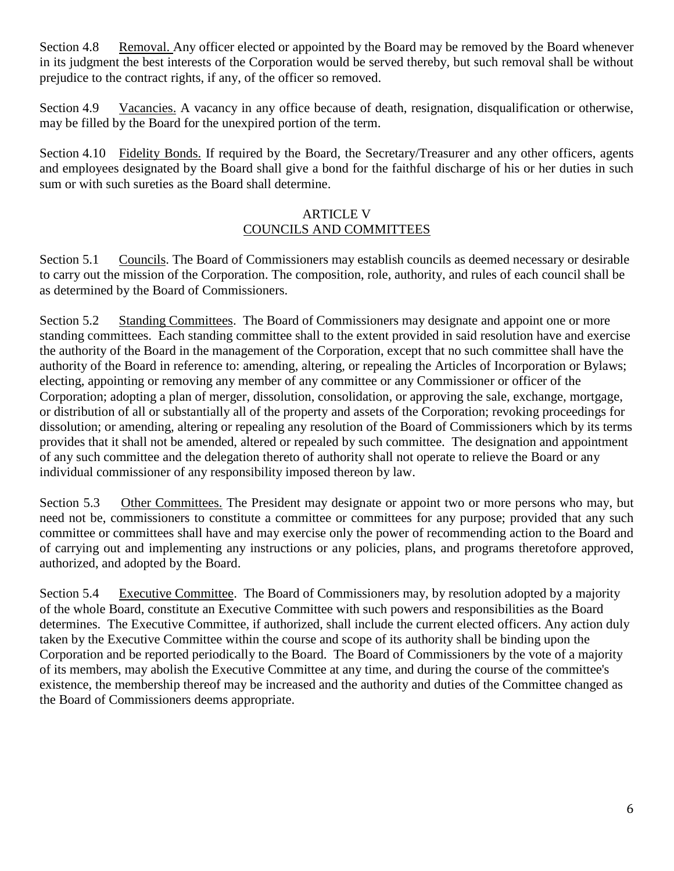Section 4.8 Removal. Any officer elected or appointed by the Board may be removed by the Board whenever in its judgment the best interests of the Corporation would be served thereby, but such removal shall be without prejudice to the contract rights, if any, of the officer so removed.

Section 4.9 Vacancies. A vacancy in any office because of death, resignation, disqualification or otherwise, may be filled by the Board for the unexpired portion of the term.

Section 4.10 Fidelity Bonds. If required by the Board, the Secretary/Treasurer and any other officers, agents and employees designated by the Board shall give a bond for the faithful discharge of his or her duties in such sum or with such sureties as the Board shall determine.

#### ARTICLE V COUNCILS AND COMMITTEES

Section 5.1 Councils. The Board of Commissioners may establish councils as deemed necessary or desirable to carry out the mission of the Corporation. The composition, role, authority, and rules of each council shall be as determined by the Board of Commissioners.

Section 5.2 Standing Committees. The Board of Commissioners may designate and appoint one or more standing committees. Each standing committee shall to the extent provided in said resolution have and exercise the authority of the Board in the management of the Corporation, except that no such committee shall have the authority of the Board in reference to: amending, altering, or repealing the Articles of Incorporation or Bylaws; electing, appointing or removing any member of any committee or any Commissioner or officer of the Corporation; adopting a plan of merger, dissolution, consolidation, or approving the sale, exchange, mortgage, or distribution of all or substantially all of the property and assets of the Corporation; revoking proceedings for dissolution; or amending, altering or repealing any resolution of the Board of Commissioners which by its terms provides that it shall not be amended, altered or repealed by such committee. The designation and appointment of any such committee and the delegation thereto of authority shall not operate to relieve the Board or any individual commissioner of any responsibility imposed thereon by law.

Section 5.3 Other Committees. The President may designate or appoint two or more persons who may, but need not be, commissioners to constitute a committee or committees for any purpose; provided that any such committee or committees shall have and may exercise only the power of recommending action to the Board and of carrying out and implementing any instructions or any policies, plans, and programs theretofore approved, authorized, and adopted by the Board.

Section 5.4 Executive Committee. The Board of Commissioners may, by resolution adopted by a majority of the whole Board, constitute an Executive Committee with such powers and responsibilities as the Board determines. The Executive Committee, if authorized, shall include the current elected officers. Any action duly taken by the Executive Committee within the course and scope of its authority shall be binding upon the Corporation and be reported periodically to the Board. The Board of Commissioners by the vote of a majority of its members, may abolish the Executive Committee at any time, and during the course of the committee's existence, the membership thereof may be increased and the authority and duties of the Committee changed as the Board of Commissioners deems appropriate.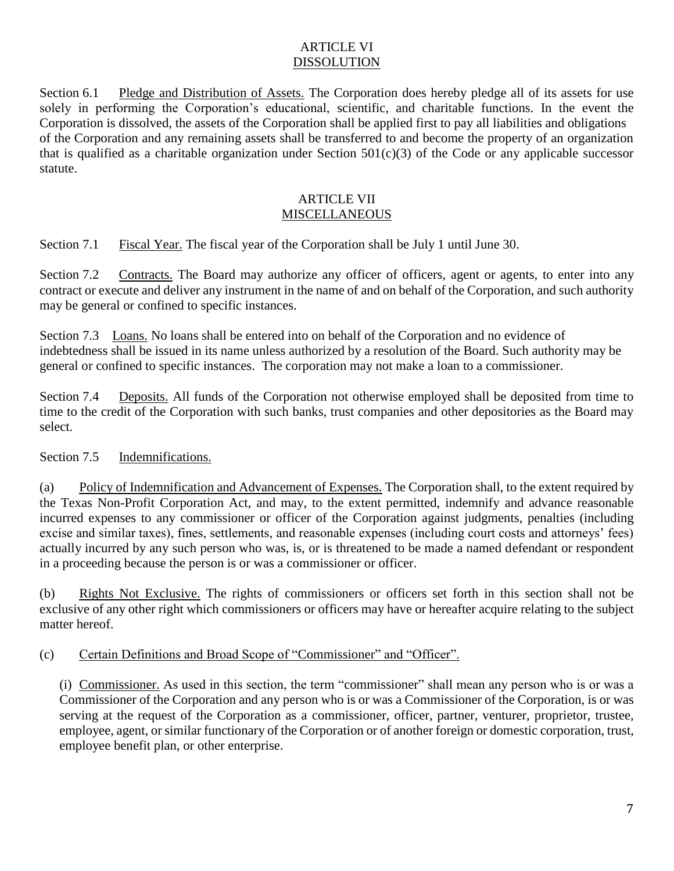### ARTICLE VI DISSOLUTION

Section 6.1 Pledge and Distribution of Assets. The Corporation does hereby pledge all of its assets for use solely in performing the Corporation's educational, scientific, and charitable functions. In the event the Corporation is dissolved, the assets of the Corporation shall be applied first to pay all liabilities and obligations of the Corporation and any remaining assets shall be transferred to and become the property of an organization that is qualified as a charitable organization under Section  $501(c)(3)$  of the Code or any applicable successor statute.

#### ARTICLE VII MISCELLANEOUS

Section 7.1 Fiscal Year. The fiscal year of the Corporation shall be July 1 until June 30.

Section 7.2 Contracts. The Board may authorize any officer of officers, agent or agents, to enter into any contract or execute and deliver any instrument in the name of and on behalf of the Corporation, and such authority may be general or confined to specific instances.

Section 7.3 Loans. No loans shall be entered into on behalf of the Corporation and no evidence of indebtedness shall be issued in its name unless authorized by a resolution of the Board. Such authority may be general or confined to specific instances. The corporation may not make a loan to a commissioner.

Section 7.4 Deposits. All funds of the Corporation not otherwise employed shall be deposited from time to time to the credit of the Corporation with such banks, trust companies and other depositories as the Board may select.

### Section 7.5 Indemnifications.

(a) Policy of Indemnification and Advancement of Expenses. The Corporation shall, to the extent required by the Texas Non-Profit Corporation Act, and may, to the extent permitted, indemnify and advance reasonable incurred expenses to any commissioner or officer of the Corporation against judgments, penalties (including excise and similar taxes), fines, settlements, and reasonable expenses (including court costs and attorneys' fees) actually incurred by any such person who was, is, or is threatened to be made a named defendant or respondent in a proceeding because the person is or was a commissioner or officer.

(b) Rights Not Exclusive. The rights of commissioners or officers set forth in this section shall not be exclusive of any other right which commissioners or officers may have or hereafter acquire relating to the subject matter hereof.

#### (c) Certain Definitions and Broad Scope of "Commissioner" and "Officer".

(i) Commissioner. As used in this section, the term "commissioner" shall mean any person who is or was a Commissioner of the Corporation and any person who is or was a Commissioner of the Corporation, is or was serving at the request of the Corporation as a commissioner, officer, partner, venturer, proprietor, trustee, employee, agent, or similar functionary of the Corporation or of another foreign or domestic corporation, trust, employee benefit plan, or other enterprise.